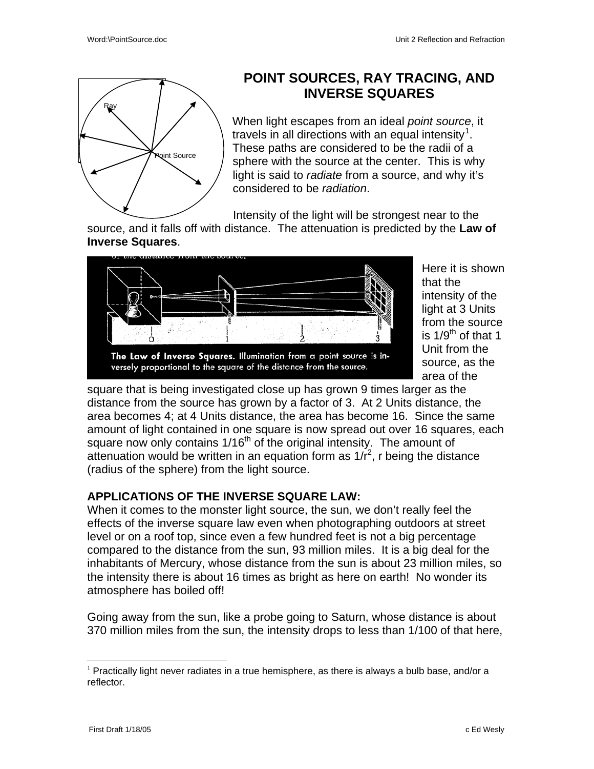

## **POINT SOURCES, RAY TRACING, AND INVERSE SQUARES**

When light escapes from an ideal *point source*, it travels in all directions with an equal intensity<sup>[1](#page-0-0)</sup>. These paths are considered to be the radii of a sphere with the source at the center. This is why light is said to *radiate* from a source, and why it's considered to be *radiation*.

Intensity of the light will be strongest near to the

source, and it falls off with distance. The attenuation is predicted by the **Law of Inverse Squares**.



Here it is shown that the intensity of the light at 3 Units from the source is  $1/9^{th}$  of that 1 Unit from the source, as the area of the

versely proportional to the square of the distance from the source.

square that is being investigated close up has grown 9 times larger as the distance from the source has grown by a factor of 3. At 2 Units distance, the area becomes 4; at 4 Units distance, the area has become 16. Since the same amount of light contained in one square is now spread out over 16 squares, each square now only contains  $1/16<sup>th</sup>$  of the original intensity. The amount of attenuation would be written in an equation form as  $1/r^2$ , r being the distance (radius of the sphere) from the light source.

## **APPLICATIONS OF THE INVERSE SQUARE LAW:**

When it comes to the monster light source, the sun, we don't really feel the effects of the inverse square law even when photographing outdoors at street level or on a roof top, since even a few hundred feet is not a big percentage compared to the distance from the sun, 93 million miles. It is a big deal for the inhabitants of Mercury, whose distance from the sun is about 23 million miles, so the intensity there is about 16 times as bright as here on earth! No wonder its atmosphere has boiled off!

Going away from the sun, like a probe going to Saturn, whose distance is about 370 million miles from the sun, the intensity drops to less than 1/100 of that here,

<span id="page-0-0"></span> $<sup>1</sup>$  Practically light never radiates in a true hemisphere, as there is always a bulb base, and/or a</sup> reflector.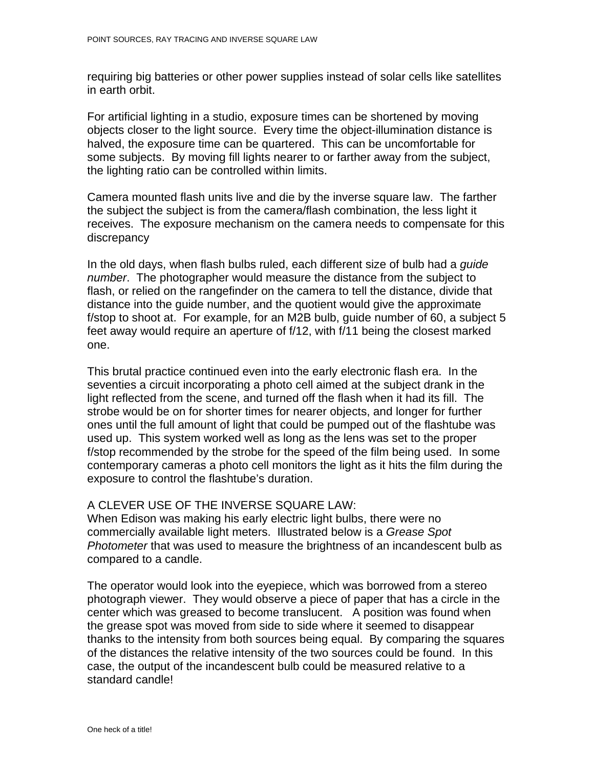requiring big batteries or other power supplies instead of solar cells like satellites in earth orbit.

For artificial lighting in a studio, exposure times can be shortened by moving objects closer to the light source. Every time the object-illumination distance is halved, the exposure time can be quartered. This can be uncomfortable for some subjects. By moving fill lights nearer to or farther away from the subject, the lighting ratio can be controlled within limits.

Camera mounted flash units live and die by the inverse square law. The farther the subject the subject is from the camera/flash combination, the less light it receives. The exposure mechanism on the camera needs to compensate for this discrepancy

In the old days, when flash bulbs ruled, each different size of bulb had a *guide number*. The photographer would measure the distance from the subject to flash, or relied on the rangefinder on the camera to tell the distance, divide that distance into the guide number, and the quotient would give the approximate f/stop to shoot at. For example, for an M2B bulb, guide number of 60, a subject 5 feet away would require an aperture of f/12, with f/11 being the closest marked one.

This brutal practice continued even into the early electronic flash era. In the seventies a circuit incorporating a photo cell aimed at the subject drank in the light reflected from the scene, and turned off the flash when it had its fill. The strobe would be on for shorter times for nearer objects, and longer for further ones until the full amount of light that could be pumped out of the flashtube was used up. This system worked well as long as the lens was set to the proper f/stop recommended by the strobe for the speed of the film being used. In some contemporary cameras a photo cell monitors the light as it hits the film during the exposure to control the flashtube's duration.

## A CLEVER USE OF THE INVERSE SQUARE LAW:

When Edison was making his early electric light bulbs, there were no commercially available light meters. Illustrated below is a *Grease Spot Photometer* that was used to measure the brightness of an incandescent bulb as compared to a candle.

The operator would look into the eyepiece, which was borrowed from a stereo photograph viewer. They would observe a piece of paper that has a circle in the center which was greased to become translucent. A position was found when the grease spot was moved from side to side where it seemed to disappear thanks to the intensity from both sources being equal. By comparing the squares of the distances the relative intensity of the two sources could be found. In this case, the output of the incandescent bulb could be measured relative to a standard candle!